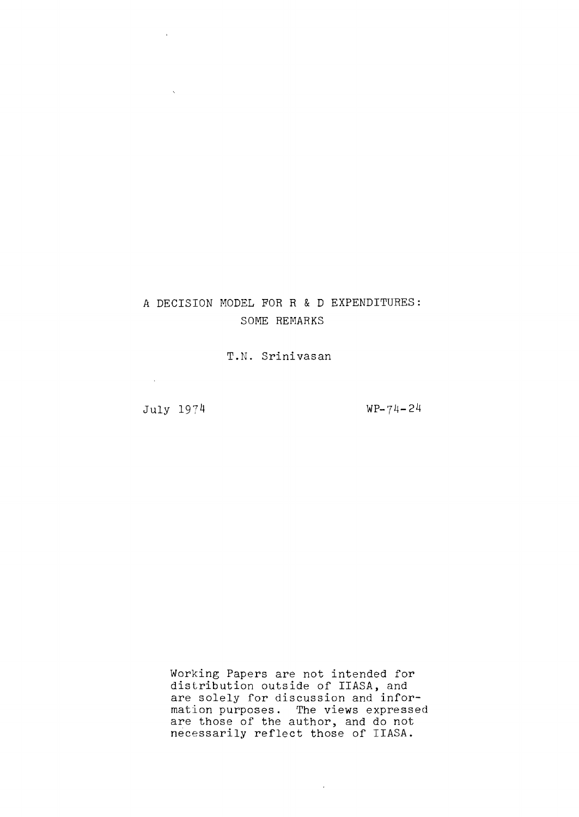## A DECISION MODEL FOR R&D EXPENDITURES: SOME REMARKS

T.N. Srinivasan

 $\sim 10^7$ 

 $\sim 10^{-1}$ 

 $\mathcal{L}$ 

July 1974 WP-7 4- 24

Working Papers are not intended for distribution outside of IIASA, and are solely for discussion and information purposes. The views expressed are those of the author, and do not necessarily reflect those of IIASA.

 $\sim 10^{-11}$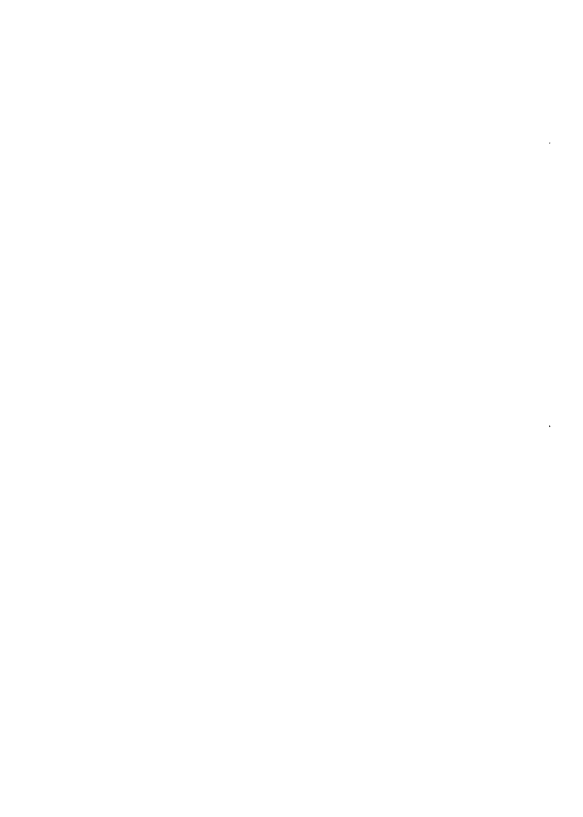$\epsilon$  $\star$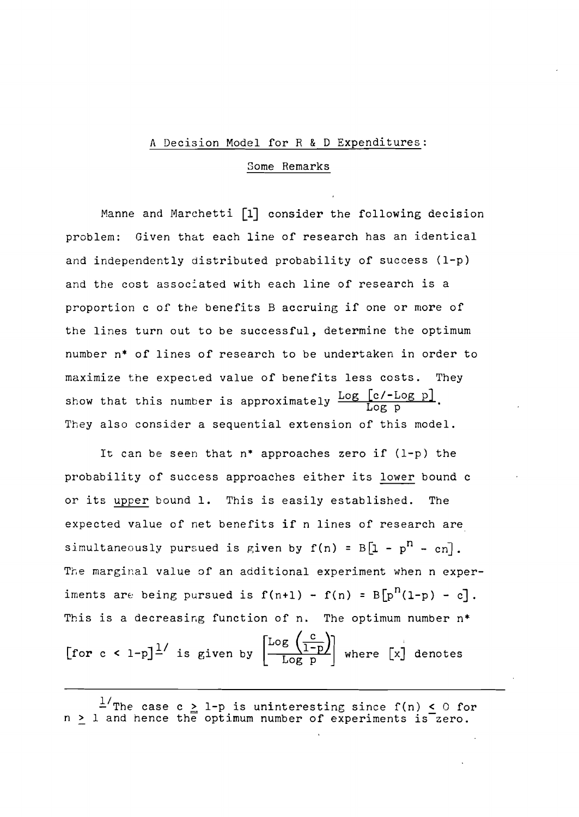## A Decision Model for R&D Expenditures:

## Some Remarks

Manne and Marchetti [1] consider the following decision problem: Given that each line of research has an identical and independently distributed probability of success (l-p) and the cost assoc:ated with each line of research is a proportion c of the benefits B accruing if one or more of the lines turn out to be successful, determine the optimum number n\* of lines of research to be undertaken in order to maximize the expected value of benefits less costs. They show that this number is approximately  $\frac{\log|c/-\log p|}{\log p}$ . They also consider a sequential extension of this model.

It can be seen that  $n^*$  approaches zero if  $(1-p)$  the probability of success approaches either its lower bound <sup>c</sup> or its upper bound 1. This is easily established. The expected value of net benefits if <sup>n</sup> lines of research are simultaneously pursued is given by  $f(n) = B[1 - p^n - cn]$ . The marginal value of an additional experiment when n experiments are being pursued is  $f(n+1) - f(n) = B[p^n(1-p) - c]$ . This is a decreasing function of n. The optimum number n\* [for c < 1-p]<sup> $\pm'$ </sup> is given by |  $1/$  .  $\qquad \qquad$   $\qquad \qquad$   $\qquad \qquad$   $\qquad \qquad$   $\qquad$   $\qquad$   $\qquad$   $\qquad$   $\qquad$   $\qquad$   $\qquad$   $\qquad$   $\qquad$   $\qquad$   $\qquad$   $\qquad$   $\qquad$   $\qquad$   $\qquad$   $\qquad$   $\qquad$   $\qquad$   $\qquad$   $\qquad$   $\qquad$   $\qquad$   $\qquad$   $\qquad$   $\qquad$   $\qquad$   $\qquad$   $\qquad$   $\qquad$   $\qquad$ c < 1-p] $^{\perp'}$  is given by  $\left|\frac{1-\log(1-p)}{\log(p)}\right|$  where [x] denotes

 $1/r$ <sup>/</sup>The case c  $\geq$  1-p is uninteresting since  $f(n) \leq 0$  for  $n \geq 1$  and hence the optimum number of experiments is zero.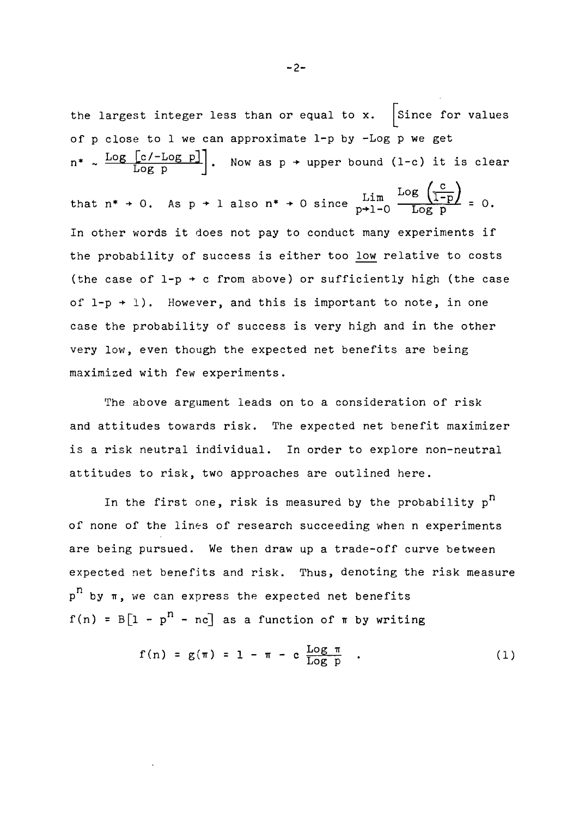the largest integer less than or equal to x. Since for values of p close to 1 we can approximate I-p by -Log p we get that n\* + 0. As p + 1 also n\* + 0 since  $\lim_{p\to 1-0} \frac{\log \left(\frac{c}{1-p}\right)}{\log p}$  = 0.  $n^* \sim \frac{\text{Log} \left[c\text{ / -Log } p\right]}{\text{Log } p}$ . Now as p + upper bound (1-c) it is clear In other words it does not pay to conduct many experiments if the probability of success is either too low relative to costs (the case of  $l-p \rightarrow c$  from above) or sufficiently high (the case of  $1-p + 1$ ). However, and this is important to note, in one case the probability of success is very high and in the other very low, even though the expected net benefits are being maximized with few experiments.

The above argument leads on to a consideration of risk and attitudes towards risk. The expected net benefit maximizer is <sup>a</sup> risk neutral individual. In order to explore non-neutral attitudes to risk, two approaches are outlined here.

In the first one, risk is measured by the probability  $p^n$ of none of the lines of research succeeding when n experiments are being pursued. We then draw up a trade-off curve between expected net benefits and risk. Thus, denoting the risk measure  $\mathbf{p^{n}}$  by  $\pi$ , we can express the expected net benefits  $f(n) = B[1 - p<sup>n</sup> - nc]$  as a function of  $\pi$  by writing

$$
f(n) = g(\pi) = 1 - \pi - c \frac{\log \pi}{\log p}
$$
 (1)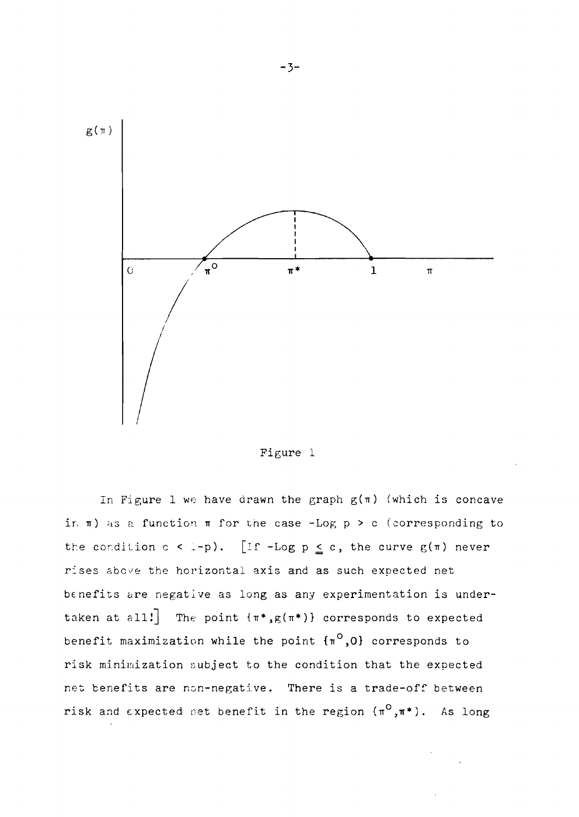

Figure 1

In Figure 1 we have drawn the graph  $g(\pi)$  (which is concave in  $\pi$ ) as a function  $\pi$  for the case -Log p > c (corresponding to the condition c <  $1-p$ ). [If -Log p  $\leq$  c, the curve g( $\pi$ ) never rises above the horizontal axis and as such expected net benefits are negative as long as any experimentation is undertaken at all! The point  $\{\pi^*, g(\pi^*)\}$  corresponds to expected benefit maximization while the point  $\{ \pi^O, O \}$  corresponds to risk minimization subject to the condition that the expected net benefits are non-negative. There is a trade-off between risk and expected net benefit in the region  $(\pi^0, \pi^*)$ . As long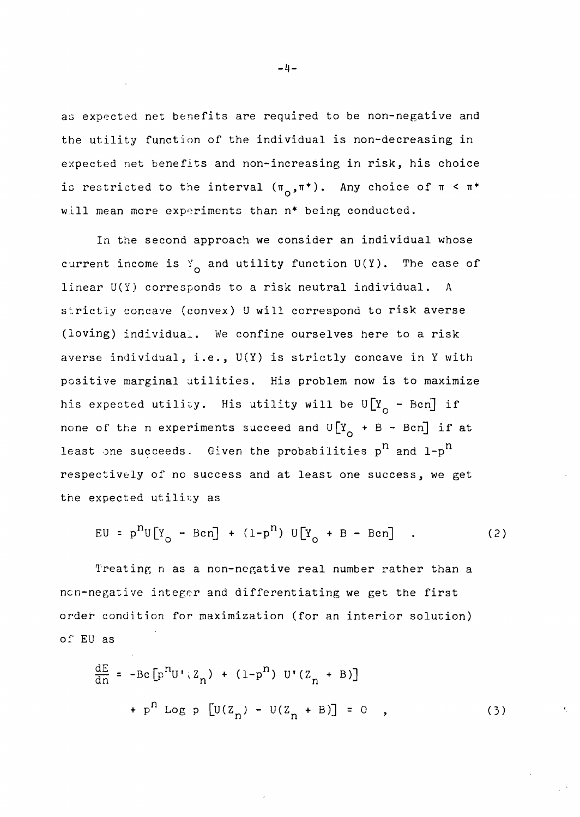as expected net benefits are required to be non-negative and the utility function of the individual is non-decreasing in expected net benefits and non-increasing in risk, his choice is restricted to the interval  $(\pi_{\overline{O}}, \pi^*)$ . Any choice of  $\pi$  <  $\pi^*$ will mean more experiments than n\* being conducted.

In the second approach we consider an individual whose current income is  $Y_{\mathsf{O}}$  and utility function U(Y). The case of linear U(Y) corresponds to <sup>a</sup> risk neutral individual. <sup>A</sup> s:rictly concave (convex) U will correspond to risk averse (loving) individual. We confine ourselves here to <sup>a</sup> risk averse individual, i.e.,  $U(Y)$  is strictly concave in Y with positive marginal utilities. His problem now is to maximize his expected utility. His utility will be  $U[Y_{n} - \text{Ben}]$  if none of the n experiments succeed and  $\mathbb{U} \big[ \mathbb{Y}^-_0 \; + \; \mathbb{B} \; - \; \text{B} \text{cn} \big]$  if at least one succeeds. Given the probabilities  $p^n$  and  $1-p^n$ respectively of no success and at least one success, we get the expected utility as

$$
EU = pnU[Yo - Bcn] + (1-pn) U[Yo + B - Bcn].
$$
 (2)

Treating <sup>n</sup> as a non-negative real number rather than a nen-negative integer and differentiating we get the first order condition for maximization (for an interior solution) of' EU as

$$
\frac{dE}{dn} = -Bc[p^{n}U'(Z_{n}) + (1-p^{n}) U'(Z_{n} + B)] + p^{n} Log p [U(Z_{n}) - U(Z_{n} + B)] = 0 ,
$$
\n(3)

-4-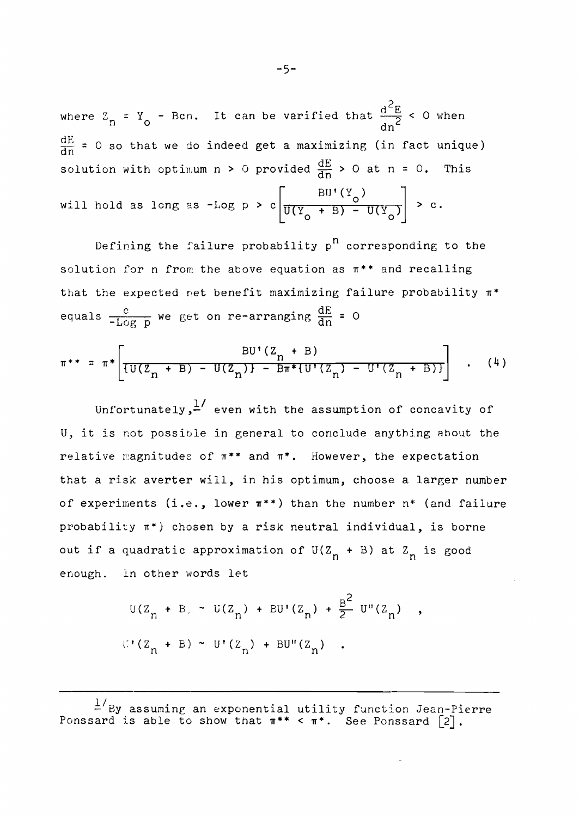where  $2_n = Y_0$  - Bcn. It can be varified that  $\frac{d^2E}{dx^2}$  < 0 when  $\frac{dE}{dn}$  = 0 so that we do indeed get a maximizing (in fact unique) solution with optimum n > 0 provided  $\frac{dE}{dn}$  > 0 at n = 0. This will hold as long as -Log p > c  $\left[\frac{BU'(Y_0)}{U(Y_0 + B) - U(Y_0)}\right]$  > c.

Defining the failure probability  $p^n$  corresponding to the solution for n from the above equation as  $\pi^{**}$  and recalling that the expected net benefit maximizing failure probability  $\pi^*$ equals  $\frac{c}{-L \cos n}$  we get on re-arranging  $\frac{dE}{dn}$  = 0

$$
\pi^{**} = \pi^{*} \left[ \frac{BU^{*}(Z_{n} + B)}{\{U(Z_{n} + B) - U(Z_{n})\} - B\pi^{*}(U^{*}(Z_{n}) - U^{*}(Z_{n} + B))} \right] . \quad (4)
$$

Unfortunately,  $\frac{1}{2}$  even with the assumption of concavity of U, it is not possible in general to conclude anything about the relative magnitudes of  $\pi^{**}$  and  $\pi^*$ . However, the expectation that a risk averter will, in his optimum, choose a larger number of experiments (i.e., lower  $\pi^{**}$ ) than the number  $n^*$  (and failure probability  $\pi^*$ ) chosen by a risk neutral individual, is borne out if a quadratic approximation of  $U(Z_n + B)$  at  $Z_n$  is good enough. In other words let

$$
U(Z_n + B) \sim U(Z_n) + BU'(Z_n) + \frac{B^2}{2} U''(Z_n)
$$
  
  $U'(Z_n + B) \sim U'(Z_n) + BU''(Z_n)$ .

 $\frac{1}{B}$  / By assuming an exponential utility function Jean-Pierre Ponssard is able to show that  $\pi^{**} < \pi^*$ . See Ponssard  $[2]$ .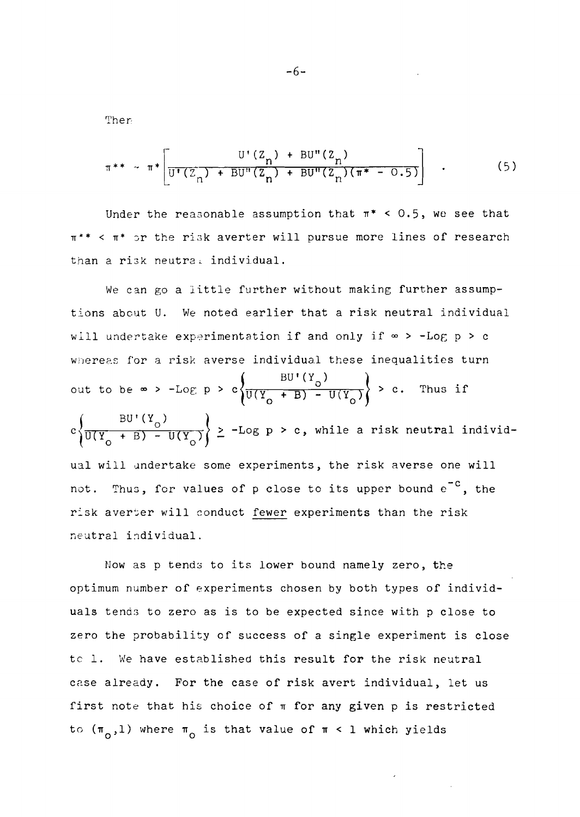Ther.

$$
\pi^{**} \sim \pi^* \left[ \frac{U'(Z_n) + BU''(Z_n)}{U'(Z_n) + BU''(Z_n) + BU''(Z_n)(\pi^* - 0.5)} \right] \quad . \tag{5}
$$

Under the reasonable assumption that  $\pi^*$  < 0.5, we see that  $\pi^{**}$  <  $\pi^*$  or the risk averter will pursue more lines of research than a risk neutral individual.

We can go a little further without making further assumptions about U. We noted earlier that a risk neutral individual will undertake experimentation if and only if  $\infty$  > -Log p > c whereas for a risk averse individual these inequalities turn out to be  $\infty$  > -Log p > c  $\left\{\frac{BU'(Y_0)}{U(Y_0 + B) - U(Y_0)}\right\}$  > c. Thus if  $c \left\{ \frac{BU'(Y_0)}{U(Y_0 + B) - U(Y_0)} \right\}$  > -Log p > c, while a risk neutral individual will undertake some experiments, the risk averse one will not. Thus, for values of p close to its upper bound e<sup>-c</sup>, the risk averter will conduct fewer experiments than the risk neutral individual.

Now as p tends to its lower bound namely zero, the optimum number of experiments chosen by both types of individuals tends to zero as is to be expected since with p close to zero the probability of success of a single experiment is close to 1. We have established this result for the risk neutral case already. For the case of risk avert individual, let us first note that his choice of  $\pi$  for any given p is restricted to  $(\pi_{0},1)$  where  $\pi_{0}$  is that value of  $\pi$  < 1 which yields

 $-6-$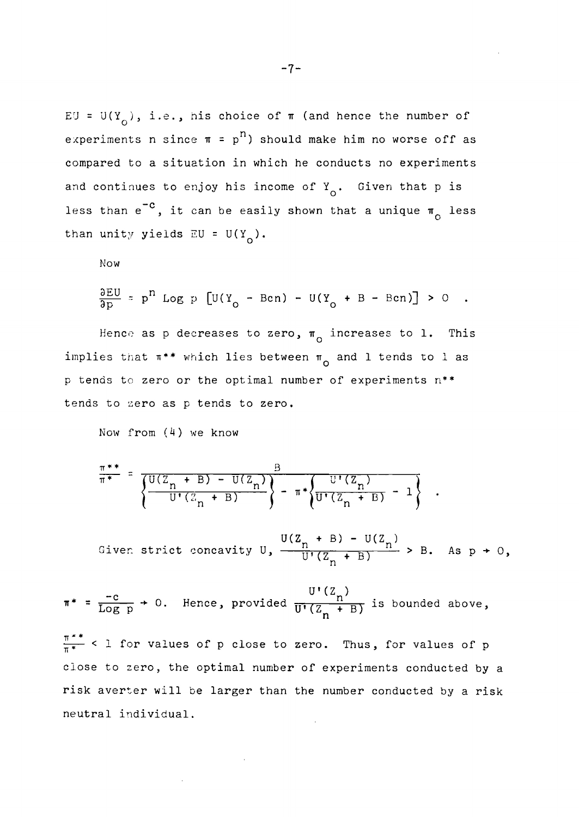EU =  $U(Y_0)$ , i.e., his choice of  $\pi$  (and hence the number of experiments n since  $\pi = p^n$ ) should make him no worse off as compared to <sup>a</sup> situation in which he conducts no experiments and continues to enjoy his income of  $Y^o$ . Given that p is less than  $e^{-c}$ , it can be easily shown that a unique  $\pi_{\overline{O}}$  less than unity yields  $EU = U(Y_0)$ .

Now

$$
\frac{\partial EU}{\partial p} = p^{n} \text{Log } p \left[ U(Y_{o} - \text{Ben}) - U(Y_{o} + B - \text{Ben}) \right] > 0
$$

Hence as p decreases to zero,  $\pi_{\overline{O}}$  increases to l. This implies that  $\pi^{**}$  which lies between  $\pi_{\alpha}$  and 1 tends to 1 as <sup>p</sup> tends to zero or the optimal number of experiments n\*\* tends to zero as <sup>p</sup> tends to zero.

Now from (4) we know

$$
\frac{\pi^{**}}{\pi^{*}} = \frac{1}{\sqrt{U(Z_{n} + B) - U(Z_{n})}} - \pi^{*}\sqrt{\frac{U'(Z_{n})}{U'(Z_{n} + B)} - 1}
$$

Given strict concavity U,  $\frac{U(Z_n + B) - U(Z_n)}{U'(Z + B)}$  $\frac{n}{U'(\mathbb{Z}_p + B)}$  > B. As  $p \rightarrow 0$ ,

 $\pi^* = \frac{-c}{\log p} \rightarrow 0$ .  $U^{\dagger} (Z_{\perp})$ Hence, provided  $\frac{P(n)}{W(n+1)}$  is bounded above, n

 $\frac{\pi^{*}}{\pi^{*}}$  < 1 for values of p close to zero. Thus, for values of p close to zero, the optimal number of experiments conducted by a risk averter will be larger than the number conducted by a risk neutral individual.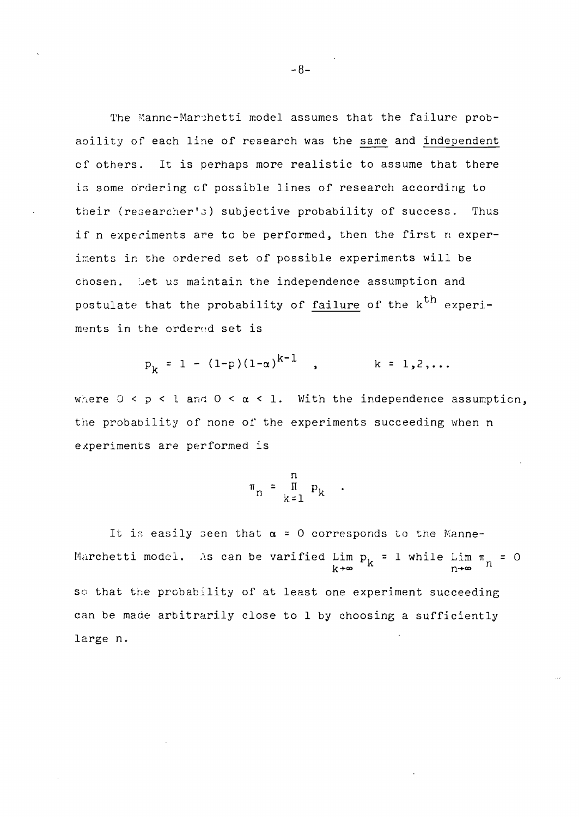The Manne-Marchetti model assumes that the failure probaoility of each line of research was the same and independent of others. It is perhaps more realistic to assume that there is some ordering of possible lines of research according to their (researcher'3) sUbjective probability of success. Thus if n experiments are to be performed, then the first n experiments in the ordered set of possible experiments will be chosen. Let us maintain the independence assumption and postulate that the probability of failure of the  $k^{th}$  experiments in the ordered set is

$$
p_k = 1 - (1-p)(1-\alpha)^{k-1}
$$
,  $k = 1,2,...$ 

where  $0 < p < 1$  and  $0 < \alpha < 1$ . With the independence assumption, the probability of none of the experiments succeeding when n experiments are performed is

$$
\pi_n = \prod_{k=1}^n p_k
$$

It is easily seen that  $\alpha = 0$  corresponds to the Manne-Marchetti model. As can be varified Lim  $p_{k}$  = 1 while Lim  $\pi_{n}$  = 0  $k \rightarrow \infty$  k  $n \rightarrow \infty$  n so that the probability of at least one experiment succeeding can be made arbitrarily close to 1 by choosing a sufficiently large n.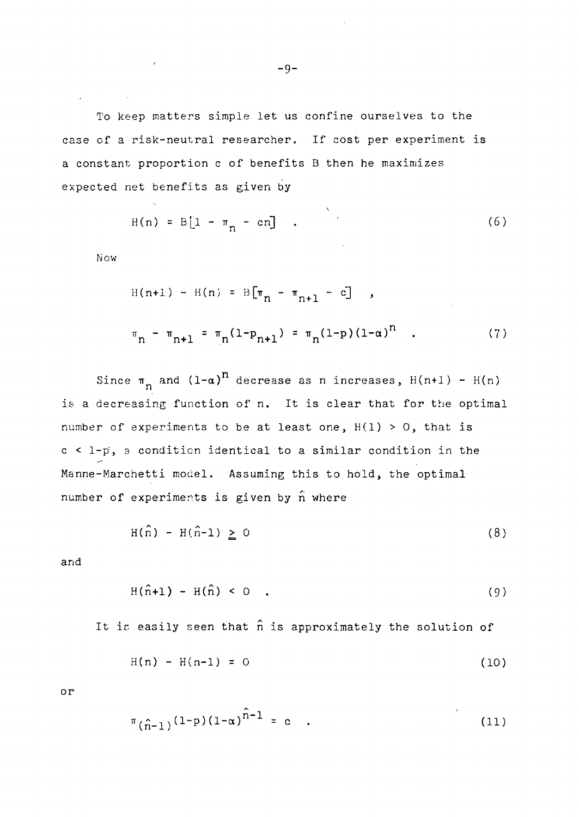To keep matters simple let us confine ourselves to the case of <sup>a</sup> risk-neutral researcher. If cost per experiment is a constant proportion c of benefits B then he maximizes expected net benefits as given by

$$
H(n) = B[1 - \pi_n - cn]
$$
 (6)

Now

$$
H(n+1) - H(n) = B[\pi_n - \pi_{n+1} - c],
$$
  
 $\pi_n - \pi_{n+1} = \pi_n(1-p_{n+1}) = \pi_n(1-p)(1-\alpha)^n$  (7)

Since  $\pi_n$  and  $(1-\alpha)^n$  decrease as n increases,  $H(n+1) - H(n)$ is <sup>a</sup> decreasing function of n. It is clear that for the optimal number of experiments to be at least one,  $H(1) > 0$ , that is <sup>c</sup> <sup>&</sup>lt; l-p, <sup>3</sup> conditicn identical to <sup>a</sup> similar condition in the Manne-Marchetti model. Assuming this to hold, the optimal number of experiments is given by  $\hat{n}$  where

$$
H(\hat{n}) - H(\hat{n}-1) \geq 0 \tag{8}
$$

and

$$
H(\hat{n}+1) - H(\hat{n}) < 0 \quad . \tag{9}
$$

It is easily seen that  $\hat{n}$  is approximately the solution of

$$
H(n) - H(n-1) = 0
$$
 (10)

or

$$
\pi_{(\hat{n}-1)}(1-p)(1-\alpha)^{\hat{n}-1} = c \qquad (11)
$$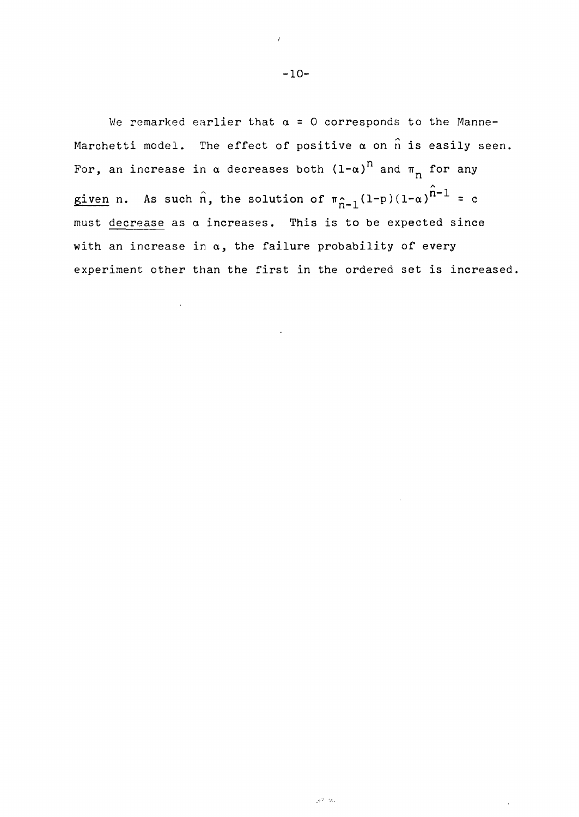We remarked earlier that  $\alpha = 0$  corresponds to the Manne-Marchetti model. The effect of positive  $\alpha$  on  $\hat{n}$  is easily seen. For, an increase in  $\alpha$  decreases both  $(1-\alpha)^n$  and  $\pi_n$  for any given n. As such  $\hat{n}$ , the solution of  $\pi_{\hat{n}-1}(1-p)(1-\alpha)^{\hat{n}-1} = c$ must decrease as  $\alpha$  increases. This is to be expected since with an increase in  $\alpha$ , the failure probability of every experiment other than the first in the ordered set is increased.